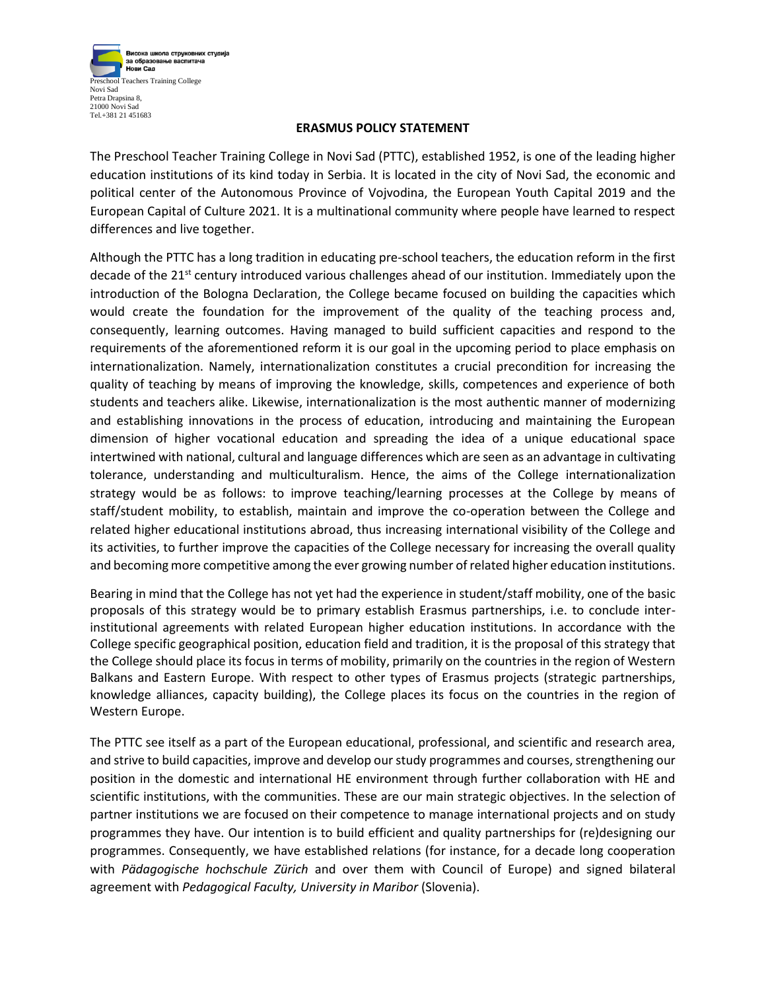

## **ERASMUS POLICY STATEMENT**

The Preschool Teacher Training College in Novi Sad (PTTC), established 1952, is one of the leading higher education institutions of its kind today in Serbia. It is located in the city of Novi Sad, the economic and political center of the Autonomous Province of Vojvodina, the European Youth Capital 2019 and the European Capital of Culture 2021. It is a multinational community where people have learned to respect differences and live together.

Although the PTTC has a long tradition in educating pre-school teachers, the education reform in the first decade of the 21<sup>st</sup> century introduced various challenges ahead of our institution. Immediately upon the introduction of the Bologna Declaration, the College became focused on building the capacities which would create the foundation for the improvement of the quality of the teaching process and, consequently, learning outcomes. Having managed to build sufficient capacities and respond to the requirements of the aforementioned reform it is our goal in the upcoming period to place emphasis on internationalization. Namely, internationalization constitutes a crucial precondition for increasing the quality of teaching by means of improving the knowledge, skills, competences and experience of both students and teachers alike. Likewise, internationalization is the most authentic manner of modernizing and establishing innovations in the process of education, introducing and maintaining the European dimension of higher vocational education and spreading the idea of a unique educational space intertwined with national, cultural and language differences which are seen as an advantage in cultivating tolerance, understanding and multiculturalism. Hence, the aims of the College internationalization strategy would be as follows: to improve teaching/learning processes at the College by means of staff/student mobility, to establish, maintain and improve the co-operation between the College and related higher educational institutions abroad, thus increasing international visibility of the College and its activities, to further improve the capacities of the College necessary for increasing the overall quality and becoming more competitive among the ever growing number of related higher education institutions.

Bearing in mind that the College has not yet had the experience in student/staff mobility, one of the basic proposals of this strategy would be to primary establish Erasmus partnerships, i.e. to conclude interinstitutional agreements with related European higher education institutions. In accordance with the College specific geographical position, education field and tradition, it is the proposal of this strategy that the College should place its focus in terms of mobility, primarily on the countries in the region of Western Balkans and Eastern Europe. With respect to other types of Erasmus projects (strategic partnerships, knowledge alliances, capacity building), the College places its focus on the countries in the region of Western Europe.

The PTTC see itself as a part of the European educational, professional, and scientific and research area, and strive to build capacities, improve and develop our study programmes and courses, strengthening our position in the domestic and international HE environment through further collaboration with HE and scientific institutions, with the communities. These are our main strategic objectives. In the selection of partner institutions we are focused on their competence to manage international projects and on study programmes they have. Our intention is to build efficient and quality partnerships for (re)designing our programmes. Consequently, we have established relations (for instance, for a decade long cooperation with *Pädagogische hochschule Zürich* and over them with Council of Europe) and signed bilateral agreement with *Pedagogical Faculty, University in Maribor* (Slovenia).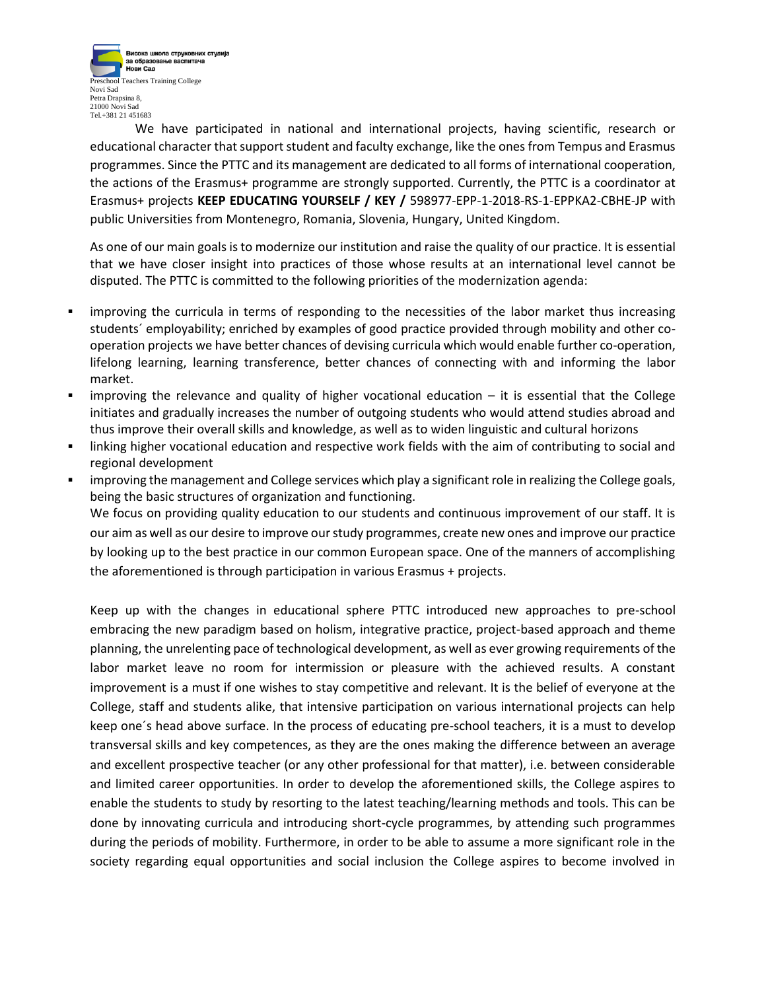

We have participated in national and international projects, having scientific, research or educational character that support student and faculty exchange, like the ones from Tempus and Erasmus programmes. Since the PTTC and its management are dedicated to all forms of international cooperation, the actions of the Erasmus+ programme are strongly supported. Currently, the PTTC is a coordinator at Erasmus+ projects **KEEP EDUCATING YOURSELF / KEY /** 598977-EPP-1-2018-RS-1-EPPKA2-CBHE-JP with public Universities from Montenegro, Romania, Slovenia, Hungary, United Kingdom.

As one of our main goals is to modernize our institution and raise the quality of our practice. It is essential that we have closer insight into practices of those whose results at an international level cannot be disputed. The PTTC is committed to the following priorities of the modernization agenda:

- improving the curricula in terms of responding to the necessities of the labor market thus increasing students´ employability; enriched by examples of good practice provided through mobility and other cooperation projects we have better chances of devising curricula which would enable further co-operation, lifelong learning, learning transference, better chances of connecting with and informing the labor market.
- **EXECT** improving the relevance and quality of higher vocational education  $-$  it is essential that the College initiates and gradually increases the number of outgoing students who would attend studies abroad and thus improve their overall skills and knowledge, as well as to widen linguistic and cultural horizons
- linking higher vocational education and respective work fields with the aim of contributing to social and regional development
- improving the management and College services which play a significant role in realizing the College goals, being the basic structures of organization and functioning.

We focus on providing quality education to our students and continuous improvement of our staff. It is our aim as well as our desire to improve our study programmes, create new ones and improve our practice by looking up to the best practice in our common European space. One of the manners of accomplishing the aforementioned is through participation in various Erasmus + projects.

Keep up with the changes in educational sphere PTTC introduced new approaches to pre-school embracing the new paradigm based on holism, integrative practice, project-based approach and theme planning, the unrelenting pace of technological development, as well as ever growing requirements of the labor market leave no room for intermission or pleasure with the achieved results. A constant improvement is a must if one wishes to stay competitive and relevant. It is the belief of everyone at the College, staff and students alike, that intensive participation on various international projects can help keep one´s head above surface. In the process of educating pre-school teachers, it is a must to develop transversal skills and key competences, as they are the ones making the difference between an average and excellent prospective teacher (or any other professional for that matter), i.e. between considerable and limited career opportunities. In order to develop the aforementioned skills, the College aspires to enable the students to study by resorting to the latest teaching/learning methods and tools. This can be done by innovating curricula and introducing short-cycle programmes, by attending such programmes during the periods of mobility. Furthermore, in order to be able to assume a more significant role in the society regarding equal opportunities and social inclusion the College aspires to become involved in